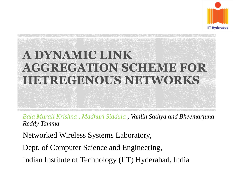

## **A DYNAMIC LINK AGGREGATION SCHEME FOR HETREGENOUS NETWORKS**

*Bala Murali Krishna , Madhuri Siddula , Vanlin Sathya and Bheemarjuna Reddy Tamma*

Networked Wireless Systems Laboratory,

Dept. of Computer Science and Engineering,

Indian Institute of Technology (IIT) Hyderabad, India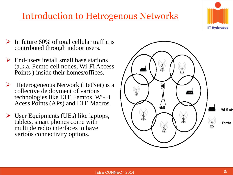Introduction to Hetrogenous Networks



- $\triangleright$  In future 60% of total cellular traffic is contributed through indoor users.
- $\triangleright$  End-users install small base stations (a.k.a. Femto cell nodes, Wi-Fi Access Points ) inside their homes/offices.
- $\triangleright$  Heterogeneous Network (HetNet) is a collective deployment of various technologies like LTE Femtos, Wi-Fi Acess Points (APs) and LTE Macros.
- $\triangleright$  User Equipments (UEs) like laptops, tablets, smart phones come with multiple radio interfaces to have various connectivity options.

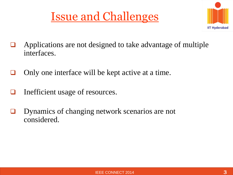



- Applications are not designed to take advantage of multiple interfaces.
- $\Box$  Only one interface will be kept active at a time.
- $\Box$  Inefficient usage of resources.
- **D** Dynamics of changing network scenarios are not considered.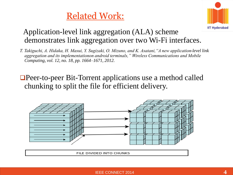#### Related Work:



#### Application-level link aggregation (ALA) scheme demonstrates link aggregation over two Wi-Fi interfaces.

- *T. Takiguchi, A. Hidaka, H. Masui, Y. Sugizaki, O. Mizuno, and K. Asatani,"A new application-level link aggregation and its implementationon android terminals," Wireless Communications and Mobile Computing, vol. 12, no. 18, pp. 1664–1671, 2012.*
- **□Peer-to-peer Bit-Torrent applications use a method called** chunking to split the file for efficient delivery.



FILE DIVIDED INTO CHUNKS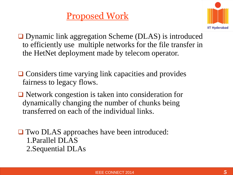### Proposed Work



**□** Dynamic link aggregation Scheme (DLAS) is introduced to efficiently use multiple networks for the file transfer in the HetNet deployment made by telecom operator.

- **□ Considers time varying link capacities and provides** fairness to legacy flows.
- **□** Network congestion is taken into consideration for dynamically changing the number of chunks being transferred on each of the individual links.
- **□** Two DLAS approaches have been introduced: 1.Parallel DLAS 2.Sequential DLAs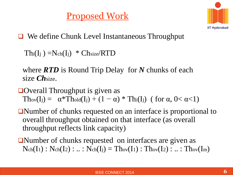#### Proposed Work



**□** We define Chunk Level Instantaneous Throughput

 $\text{Thi}(I_j) = N_{ch}(I_j) * \text{Chsize}/RTD$ 

where *RTD* is Round Trip Delay for *N* chunks of each size *Ch*size.

- $\Box$  Overall Throughput is given as Thov(I<sub>j</sub>) =  $\alpha^*$ Thold(I<sub>j</sub>) + (1 –  $\alpha$ ) \* Th<sub>i</sub>(I<sub>j</sub>) (for  $\alpha$ , 0<  $\alpha$ <1)
- Number of chunks requested on an interface is proportional to overall throughput obtained on that interface (as overall throughput reflects link capacity)
- ■Number of chunks requested on interfaces are given as  $Nch(I_1) : Nch(I_2) : ... : Nch(I_j) = Thov(I_1) : Thov(I_2) : ... : Thov(I_m)$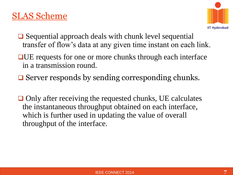#### SLAS Scheme



- **□** Sequential approach deals with chunk level sequential transfer of flow's data at any given time instant on each link.
- **□UE** requests for one or more chunks through each interface in a transmission round.
- $\Box$  Server responds by sending corresponding chunks.
- $\Box$  Only after receiving the requested chunks, UE calculates the instantaneous throughput obtained on each interface, which is further used in updating the value of overall throughput of the interface.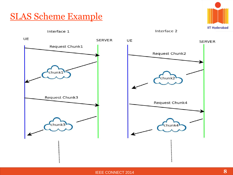

Interface 1



Interface 2

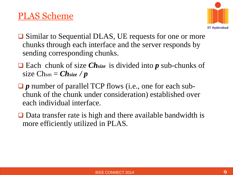#### PLAS Scheme



- **□** Similar to Sequential DLAS, UE requests for one or more chunks through each interface and the server responds by sending corresponding chunks.
- Each chunk of size *Chsize* is divided into *p* sub-chunks of size  $Ch_{sm} = Ch_{size}/p$
- *□* p number of parallel TCP flows (i.e., one for each subchunk of the chunk under consideration) established over each individual interface.
- $\Box$  Data transfer rate is high and there available bandwidth is more efficiently utilized in PLAS.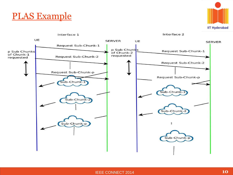



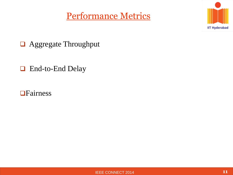#### Performance Metrics



Aggregate Throughput

□ End-to-End Delay

**OF**airness

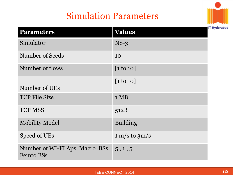#### Simulation Parameters



| <b>Parameters</b>                                   | <b>Values</b>                      |
|-----------------------------------------------------|------------------------------------|
| Simulator                                           | $NS-3$                             |
| Number of Seeds                                     | 10                                 |
| Number of flows                                     | $[1 \text{ to } 10]$               |
| Number of UEs                                       | $\lceil 1 \text{ to } 10 \rceil$   |
| <b>TCP File Size</b>                                | $1 \text{ MB}$                     |
| <b>TCP MSS</b>                                      | 512B                               |
| <b>Mobility Model</b>                               | <b>Building</b>                    |
| Speed of UEs                                        | $1 \text{ m/s}$ to $3 \text{ m/s}$ |
| Number of WI-FI Aps, Macro BSs,<br><b>Femto BSs</b> | 5, 1, 5                            |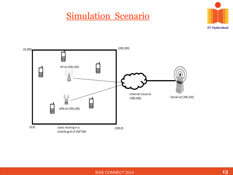#### Simulation Scenario



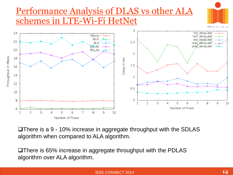#### Performance Analysis of DLAS vs other ALA schemes in LTE-Wi-Fi HetNet





There is a 9 - 10% increase in aggregate throughput with the SDLAS algorithm when compared to ALA algorithm.

There is 65% increase in aggregate throughput with the PDLAS algorithm over ALA algorithm.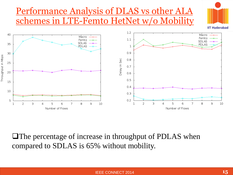#### Performance Analysis of DLAS vs other ALA schemes in LTE-Femto HetNet w/o Mobility





**The percentage of increase in throughput of PDLAS when** compared to SDLAS is 65% without mobility.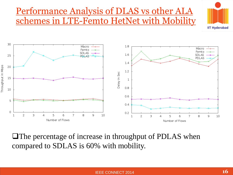#### Performance Analysis of DLAS vs other ALA schemes in LTE-Femto HetNet with Mobility





**The percentage of increase in throughput of PDLAS when** compared to SDLAS is 60% with mobility.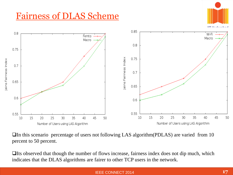#### Fairness of DLAS Scheme



In this scenario percentage of users not following LAS algorithm(PDLAS) are varied from 10 percent to 50 percent.

 $\Box$  Its observed that though the number of flows increase, fairness index does not dip much, which indicates that the DLAS algorithms are fairer to other TCP users in the network.

#### IEEE CONNECT 2014 **17**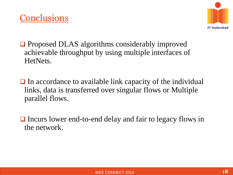

- **Proposed DLAS** algorithms considerably improved achievable throughput by using multiple interfaces of HetNets.
- $\Box$  In accordance to available link capacity of the individual links, data is transferred over singular flows or Multiple parallel flows.
- $\Box$  Incurs lower end-to-end delay and fair to legacy flows in the network.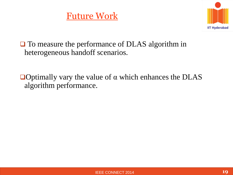

**□** To measure the performance of DLAS algorithm in heterogeneous handoff scenarios.

 $\Box$  Optimally vary the value of α which enhances the DLAS algorithm performance.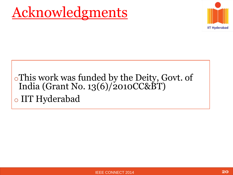### Acknowledgments



### oThis work was funded by the Deity, Govt. of India (Grant No. 13(6)/2010CC&BT) o IIT Hyderabad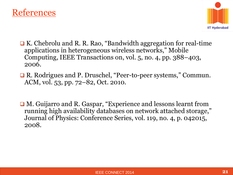



- **□ K. Chebrolu and R. R. Rao, "Bandwidth aggregation for real-time** applications in heterogeneous wireless networks," Mobile Computing, IEEE Transactions on, vol. 5, no. 4, pp. 388–403, 2006.
- **□ R. Rodrigues and P. Druschel, "Peer-to-peer systems," Commun.** ACM, vol. 53, pp. 72–82, Oct. 2010.
- **□ M. Guijarro and R. Gaspar, "Experience and lessons learnt from** running high availability databases on network attached storage," Journal of Physics: Conference Series, vol. 119, no. 4, p. 042015, 2008.